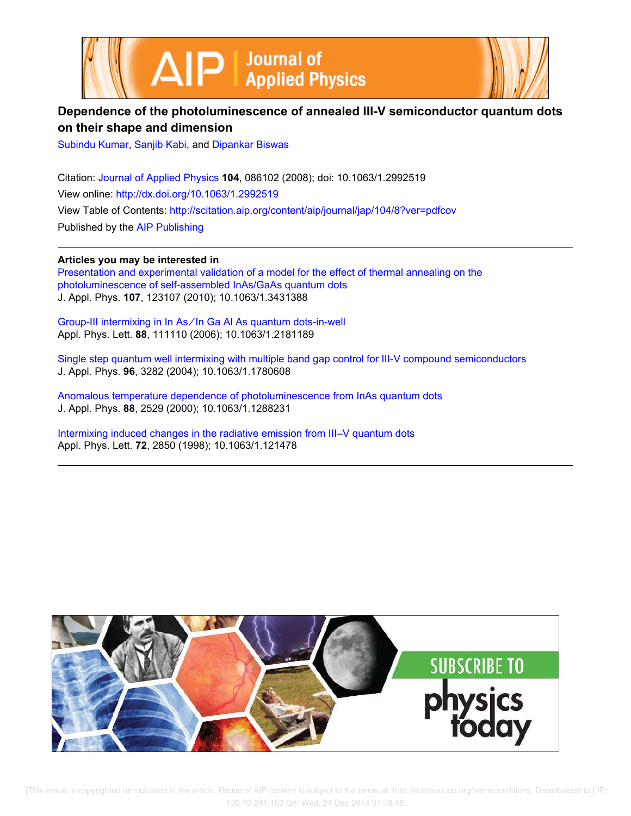



## **Dependence of the photoluminescence of annealed III-V semiconductor quantum dots on their shape and dimension**

Subindu Kumar, Sanjib Kabi, and Dipankar Biswas

Citation: Journal of Applied Physics **104**, 086102 (2008); doi: 10.1063/1.2992519 View online: http://dx.doi.org/10.1063/1.2992519 View Table of Contents: http://scitation.aip.org/content/aip/journal/jap/104/8?ver=pdfcov Published by the AIP Publishing

**Articles you may be interested in** Presentation and experimental validation of a model for the effect of thermal annealing on the photoluminescence of self-assembled InAs/GaAs quantum dots J. Appl. Phys. **107**, 123107 (2010); 10.1063/1.3431388

Group-III intermixing in In As ∕ In Ga Al As quantum dots-in-well Appl. Phys. Lett. **88**, 111110 (2006); 10.1063/1.2181189

Single step quantum well intermixing with multiple band gap control for III-V compound semiconductors J. Appl. Phys. **96**, 3282 (2004); 10.1063/1.1780608

Anomalous temperature dependence of photoluminescence from InAs quantum dots J. Appl. Phys. **88**, 2529 (2000); 10.1063/1.1288231

Intermixing induced changes in the radiative emission from III–V quantum dots Appl. Phys. Lett. **72**, 2850 (1998); 10.1063/1.121478



 [This article is copyrighted as indicated in the article. Reuse of AIP content is subject to the terms at: http://scitation.aip.org/termsconditions. Downloaded to ] IP: 130.70.241.163 On: Wed, 24 Dec 2014 01:18:48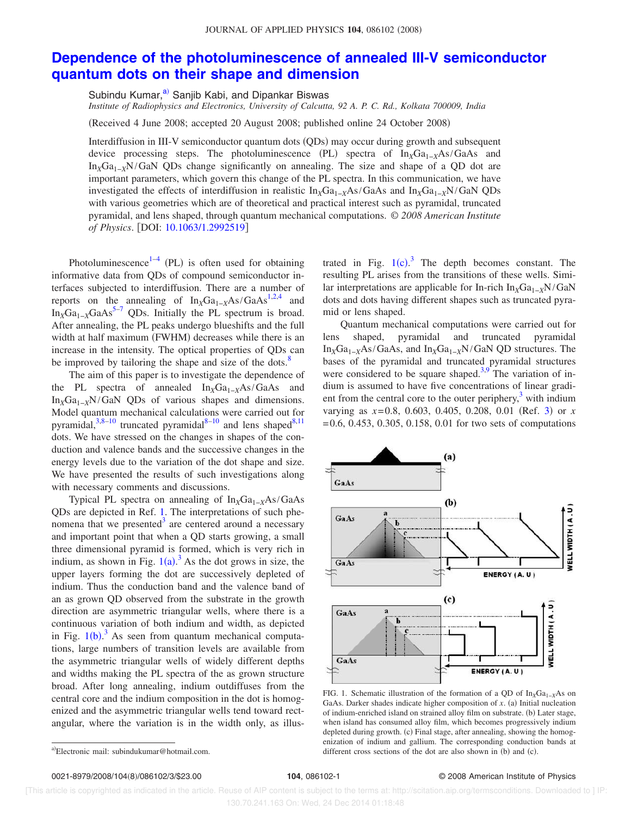## **Dependence of the photoluminescence of annealed III-V semiconductor quantum dots on their shape and dimension**

Subindu Kumar,<sup>a)</sup> Sanjib Kabi, and Dipankar Biswas

*Institute of Radiophysics and Electronics, University of Calcutta, 92 A. P. C. Rd., Kolkata 700009, India*

Received 4 June 2008; accepted 20 August 2008; published online 24 October 2008-

Interdiffusion in III-V semiconductor quantum dots (QDs) may occur during growth and subsequent device processing steps. The photoluminescence (PL) spectra of In<sub>X</sub>Ga<sub>1−X</sub>As/GaAs and In*X*Ga1−*X*N/GaN QDs change significantly on annealing. The size and shape of a QD dot are important parameters, which govern this change of the PL spectra. In this communication, we have investigated the effects of interdiffusion in realistic  $In_xGa_{1-x}As/GaAs$  and  $In_xGa_{1-x}N/GaN$  QDs with various geometries which are of theoretical and practical interest such as pyramidal, truncated pyramidal, and lens shaped, through quantum mechanical computations. © *2008 American Institute of Physics.* [DOI: 10.1063/1.2992519]

Photoluminescence $1-4$  (PL) is often used for obtaining informative data from QDs of compound semiconductor interfaces subjected to interdiffusion. There are a number of reports on the annealing of  $In_XGa_{1-X}As/GaAs^{1,2,4}$  and In<sub>*X*</sub>Ga<sub>1−*X*</sub>GaAs<sup>5−7</sup> QDs. Initially the PL spectrum is broad. After annealing, the PL peaks undergo blueshifts and the full width at half maximum (FWHM) decreases while there is an increase in the intensity. The optical properties of QDs can be improved by tailoring the shape and size of the dots. $8$ 

The aim of this paper is to investigate the dependence of the PL spectra of annealed In<sub>*X*</sub>Ga<sub>1−*X*</sub>As/GaAs and In*X*Ga1−*<sup>X</sup>*N/GaN QDs of various shapes and dimensions. Model quantum mechanical calculations were carried out for pyramidal, $3,8-10$  truncated pyramidal $8-10$  and lens shaped $8,11$ dots. We have stressed on the changes in shapes of the conduction and valence bands and the successive changes in the energy levels due to the variation of the dot shape and size. We have presented the results of such investigations along with necessary comments and discussions.

Typical PL spectra on annealing of In<sub>*X*</sub>Ga<sub>1−*X*</sub>As/GaAs QDs are depicted in Ref. 1. The interpretations of such phenomena that we presented $3$  are centered around a necessary and important point that when a QD starts growing, a small three dimensional pyramid is formed, which is very rich in indium, as shown in Fig.  $1(a)$ <sup>3</sup> As the dot grows in size, the upper layers forming the dot are successively depleted of indium. Thus the conduction band and the valence band of an as grown QD observed from the substrate in the growth direction are asymmetric triangular wells, where there is a continuous variation of both indium and width, as depicted in Fig.  $1(b)$ .<sup>3</sup> As seen from quantum mechanical computations, large numbers of transition levels are available from the asymmetric triangular wells of widely different depths and widths making the PL spectra of the as grown structure broad. After long annealing, indium outdiffuses from the central core and the indium composition in the dot is homogenized and the asymmetric triangular wells tend toward rectangular, where the variation is in the width only, as illus-

trated in Fig.  $1(c)$ .<sup>3</sup> The depth becomes constant. The resulting PL arises from the transitions of these wells. Similar interpretations are applicable for In-rich In<sub>*X*</sub>Ga<sub>1−*X*</sub>N/GaN dots and dots having different shapes such as truncated pyramid or lens shaped.

Quantum mechanical computations were carried out for lens shaped, pyramidal and truncated pyramidal In*X*Ga1−*<sup>X</sup>*As/GaAs, and In*X*Ga1−*<sup>X</sup>*N/GaN QD structures. The bases of the pyramidal and truncated pyramidal structures were considered to be square shaped.<sup>3,9</sup> The variation of indium is assumed to have five concentrations of linear gradient from the central core to the outer periphery, $3$  with indium varying as  $x=0.8$ , 0.603, 0.405, 0.208, 0.01 (Ref. 3) or *x* = 0.6, 0.453, 0.305, 0.158, 0.01 for two sets of computations



FIG. 1. Schematic illustration of the formation of a QD of In<sub>X</sub>Ga<sub>1−*X*</sub>As on GaAs. Darker shades indicate higher composition of  $x$ . (a) Initial nucleation of indium-enriched island on strained alloy film on substrate. (b) Later stage, when island has consumed alloy film, which becomes progressively indium depleted during growth. (c) Final stage, after annealing, showing the homogenization of indium and gallium. The corresponding conduction bands at different cross sections of the dot are also shown in  $(b)$  and  $(c)$ .

0021-8979/2008/104(8)/086102/3/\$23.00

## 104, 086102-1 **2008 American Institute of Physics**

 [This article is copyrighted as indicated in the article. Reuse of AIP content is subject to the terms at: http://scitation.aip.org/termsconditions. Downloaded to ] IP: 130.70.241.163 On: Wed, 24 Dec 2014 01:18:48

a)Electronic mail: subindukumar@hotmail.com.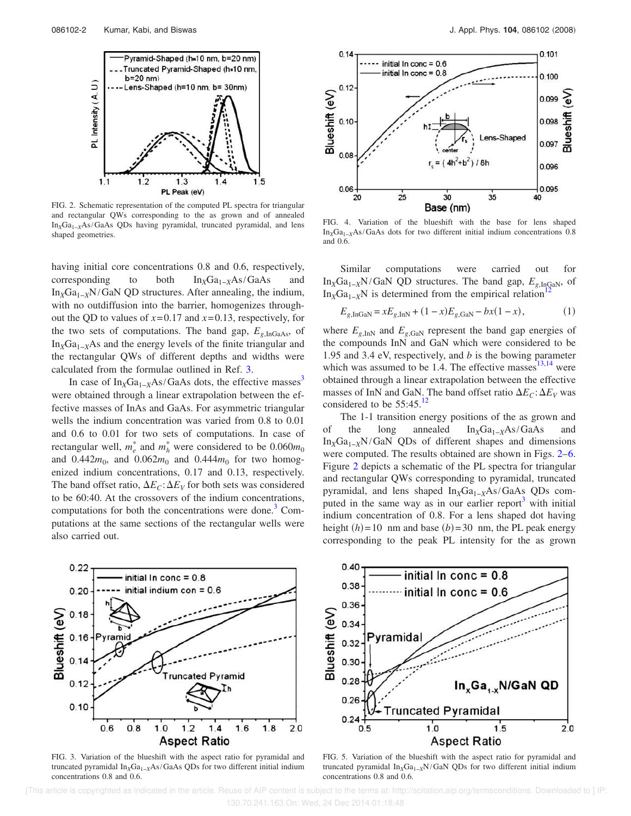

FIG. 2. Schematic representation of the computed PL spectra for triangular and rectangular QWs corresponding to the as grown and of annealed In<sub>X</sub>Ga<sub>1-*X*</sub>As/GaAs QDs having pyramidal, truncated pyramidal, and lens shaped geometries.

having initial core concentrations 0.8 and 0.6, respectively, corresponding to both In<sub>*X*</sub>Ga<sub>1−*X*</sub>As/GaAs and In*X*Ga1−*X*N/GaN QD structures. After annealing, the indium, with no outdiffusion into the barrier, homogenizes throughout the QD to values of  $x=0.17$  and  $x=0.13$ , respectively, for the two sets of computations. The band gap,  $E_{g,\text{InGaAs}}$ , of In<sub>*X*</sub>Ga<sub>1−*X*</sub>As and the energy levels of the finite triangular and the rectangular QWs of different depths and widths were calculated from the formulae outlined in Ref. 3.

In case of  $In_xGa_{1-x}As/GaAs$  dots, the effective masses<sup>3</sup> were obtained through a linear extrapolation between the effective masses of InAs and GaAs. For asymmetric triangular wells the indium concentration was varied from 0.8 to 0.01 and 0.6 to 0.01 for two sets of computations. In case of rectangular well,  $m_e^*$  and  $m_h^*$  were considered to be  $0.060m_0$ and  $0.442m_0$ , and  $0.062m_0$  and  $0.444m_0$  for two homogenized indium concentrations, 0.17 and 0.13, respectively. The band offset ratio,  $\Delta E_C$ :  $\Delta E_V$  for both sets was considered to be 60:40. At the crossovers of the indium concentrations, computations for both the concentrations were done. $3$  Computations at the same sections of the rectangular wells were also carried out.



FIG. 4. Variation of the blueshift with the base for lens shaped In*X*Ga1−*<sup>X</sup>*As/GaAs dots for two different initial indium concentrations 0.8 and 0.6.

Similar computations were carried out for In<sub>X</sub>Ga<sub>1−*X*</sub>N/GaN QD structures. The band gap,  $E_{g,\text{InGaN}}$ , of In<sub>X</sub>Ga<sub>1−*X*</sub>N is determined from the empirical relation

$$
E_{g,\text{InGaN}} = xE_{g,\text{InN}} + (1 - x)E_{g,\text{GaN}} - bx(1 - x),\tag{1}
$$

where  $E_{g,\text{InN}}$  and  $E_{g,\text{GaN}}$  represent the band gap energies of the compounds InN and GaN which were considered to be 1.95 and 3.4 eV, respectively, and *b* is the bowing parameter which was assumed to be 1.4. The effective masses $13,14$  were obtained through a linear extrapolation between the effective masses of InN and GaN. The band offset ratio  $\Delta E_C$ :  $\Delta E_V$  was considered to be  $55:45.^{12}$ 

The 1-1 transition energy positions of the as grown and of the long annealed In<sub>X</sub>Ga<sub>1−*X*</sub>As/GaAs and In*X*Ga1−*<sup>X</sup>*N/GaN QDs of different shapes and dimensions were computed. The results obtained are shown in Figs. 2–6. Figure 2 depicts a schematic of the PL spectra for triangular and rectangular QWs corresponding to pyramidal, truncated pyramidal, and lens shaped In<sub>X</sub>Ga<sub>1−*X*</sub>As/GaAs QDs computed in the same way as in our earlier report<sup>3</sup> with initial indium concentration of 0.8. For a lens shaped dot having height  $(h)$  = 10 nm and base  $(b)$  = 30 nm, the PL peak energy corresponding to the peak PL intensity for the as grown



FIG. 3. Variation of the blueshift with the aspect ratio for pyramidal and truncated pyramidal In<sub>x</sub>Ga<sub>1−*X*</sub>As/GaAs QDs for two different initial indium concentrations 0.8 and 0.6.



FIG. 5. Variation of the blueshift with the aspect ratio for pyramidal and truncated pyramidal In<sub>X</sub>Ga<sub>1−*X*</sub>N/GaN QDs for two different initial indium concentrations 0.8 and 0.6.

 [This article is copyrighted as indicated in the article. Reuse of AIP content is subject to the terms at: http://scitation.aip.org/termsconditions. Downloaded to ] IP: 130.70.241.163 On: Wed, 24 Dec 2014 01:18:48